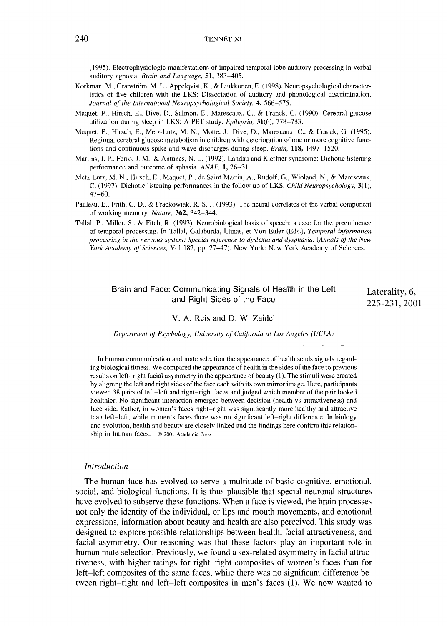# **Brain and Face: Communicating Signals of Health in the Left and Right Sides of the Face**

Laterality, 6, 225-231, 2001

**V. A.** Reis and **D. W.** Zaidel

*Department of Psychology, University of California at Los Angeles (UCLA)* 

In human communication and mate selection the appearance of health sends signals regarding biological fitness. We compared the appearance of health in the sides of the face to previous results on left-right facial asymmetry in the appearance of beauty (1). The stimuli were created by aligning the left and right sides of the face each with its own mirror image. Here, participants viewed 38 pairs of left-left and right-right faces and judged which member of the pair looked healthier. No significant interaction emerged between decision (health vs attractiveness) and face side. Rather, in women's faces right-right was significantly more healthy and attractive than left-left, while in men's faces there was no significant left-right difference. In biology and evolution, health and beauty are closely linked and the findings here confirm this relationship in human faces. © 2OOl Academic Press

## *Introduction*

The human face has evolved to serve a multitude of basic cognitive, emotional, social, and biological functions. It is thus plausible that special neuronal structures have evolved to subserve these functions. When a face is viewed, the brain processes not only the identity of the individual, or lips and mouth movements, and emotional expressions, information about beauty and health are also perceived. This study was designed to explore possible relationships between health, facial attractiveness, and facial asymmetry. Our reasoning was that these factors play an important role in human mate selection. Previously, we found a sex-related asymmetry in facial attractiveness, with higher ratings for right-fight composites of women's faces than for left-left composites of the same faces, while there was no significant difference between right-right and left-left composites in men's faces (1). We now wanted to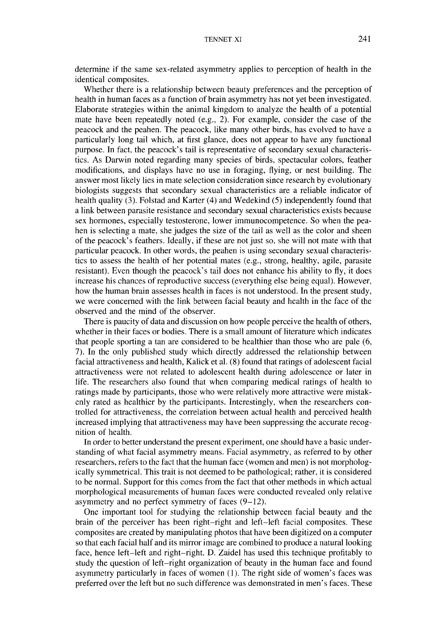determine if the same sex-related asymmetry applies to perception of health in the identical composites.

Whether there is a relationship between beauty preferences and the perception of health in human faces as a function of brain asymmetry has not yet been investigated. Elaborate strategies within the animal kingdom to analyze the health of a potential mate have been repeatedly noted (e.g., 2). For example, consider the case of the peacock and the peahen. The peacock, like many other birds, has evolved to have a particularly long tail which, at first glance, does not appear to have any functional purpose. In fact, the peacock's tail is representative of secondary sexual characteristics. As Darwin noted regarding many species of birds, spectacular colors, feather modifications, and displays have no use in foraging, flying, or nest building. The answer most likely lies in mate selection consideration since research by evolutionary biologists suggests that secondary sexual characteristics are a reliable indicator of health quality (3). Folstad and Karter (4) and Wedekind (5) independently found that a link between parasite resistance and secondary sexual characteristics exists because sex hormones, especially testosterone, lower immunocompetence. So when the peahen is selecting a mate, she judges the size of the tail as well as the color and sheen of the peacock's feathers. Ideally, if these are not just so, she will not mate with that particular peacock. In other words, the peahen is using secondary sexual characteristics to assess the health of her potential mates (e.g., strong, healthy, agile, parasite resistant). Even though the peacock's tail does not enhance his ability to fly, it does increase his chances of reproductive success (everything else being equal). However, how the human brain assesses health in faces is not understood. In the present study, we were concerned with the link between facial beauty and health in the face of the observed and the mind of the observer.

There is paucity of data and discussion on how people perceive the health of others, whether in their faces or bodies. There is a small amount of literature which indicates that people sporting a tan are considered to be healthier than those who are pale (6, 7). In the only published study which directly addressed the relationship between facial attractiveness and health, Kalick et al. (8) found that ratings of adolescent facial attractiveness were not related to adolescent health during adolescence or later in life. The researchers also found that when comparing medical ratings of health to ratings made by participants, those who were relatively more attractive were mistakenly rated as healthier by the participants. Interestingly, when the researchers controlled for attractiveness, the correlation between actual health and perceived health increased implying that attractiveness may have been suppressing the accurate recognition of health.

In order to better understand the present experiment, one should have a basic understanding of what facial asymmetry means. Facial asymmetry, as referred to by other researchers, refers to the fact that the human face (women and men) is not morphologically symmetrical. This trait is not deemed to be pathological; rather, it is considered to be normal. Support for this comes from the fact that other methods in which actual morphological measurements of human faces were conducted revealed only relative asymmetry and no perfect symmetry of faces (9-12).

One important tool for studying the relationship between facial beauty and the brain of the perceiver has been right-right and left-left facial composites. These composites are created by manipulating photos that have been digitized on a computer so that each facial half and its mirror image are combined to produce a natural looking face, hence left-left and right-fight. D. Zaidel has used this technique profitably to study the question of left-right organization of beauty in the human face and found asymmetry particularly in faces of women (1). The right side of women's faces was preferred over the left but no such difference was demonstrated in men's faces. These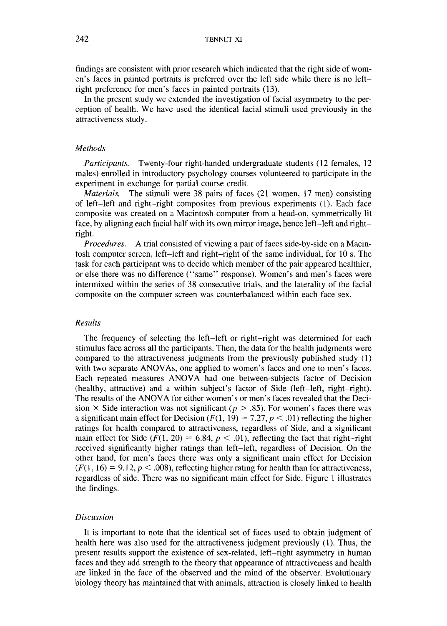findings are consistent with prior research which indicated that the right side of women's faces in painted portraits is preferred over the left side while there is no leftright preference for men's faces in painted portraits (13).

In the present study we extended the investigation of facial asymmetry to the perception of health. We have used the identical facial stimuli used previously in the attractiveness study.

# $Methods$

*Participants.* Twenty-four right-handed undergraduate students (12 females, 12 males) enrolled in introductory psychology courses volunteered to participate in the experiment in exchange for partial course credit.

*Materials.* The stimuli were 38 pairs of faces (21 women, 17 men) consisting of left-left and right-right composites from previous experiments (1). Each face composite was created on a Macintosh computer from a head-on, symmetrically lit face, by aligning each facial half with its own mirror image, hence left-left and rightright.

*Procedures.* A trial consisted of viewing a pair of faces side-by-side on a Macintosh computer screen, left-left and right-right of the same individual, for 10 s. The task for each participant was to decide which member of the pair appeared healthier, or else there was no difference ("same" response). Women's and men's faces were intermixed within the series of 38 consecutive trials, and the laterality of the facial composite on the computer screen was counterbalanced within each face sex.

#### *Results*

The frequency of selecting the left-left or right-right was determined for each stimulus face across all the participants. Then, the data for the health judgments were compared to the attractiveness judgments from the previously published study (1) with two separate ANOVAs, one applied to women's faces and one to men's faces. Each repeated measures ANOVA had one between-subjects factor of Decision (healthy, attractive) and a within subject's factor of Side (left-left, right-right). The results of the ANOVA for either women's or men's faces revealed that the Decision  $\times$  Side interaction was not significant ( $p > .85$ ). For women's faces there was a significant main effect for Decision ( $F(1, 19) = 7.27$ ,  $p < .01$ ) reflecting the higher ratings for health compared to attractiveness, regardless of Side, and a significant main effect for Side ( $F(1, 20) = 6.84$ ,  $p < .01$ ), reflecting the fact that right-right received significantly higher ratings than left-left, regardless of Decision. On the other hand, for men's faces there was only a significant main effect for Decision  $(F(1, 16) = 9.12, p < .008)$ , reflecting higher rating for health than for attractiveness, regardless of side. There was no significant main effect for Side. Figure 1 illustrates the findings.

#### *Discussion*

It is important to note that the identical set of faces used to obtain judgment of health here was also used for the attractiveness judgment previously (1). Thus, the present results support the existence of sex-related, left-right asymmetry in human faces and they add strength to the theory that appearance of attractiveness and health are linked in the face of the observed and the mind of the observer. Evolutionary biology theory has maintained that with animals, attraction is closely linked to health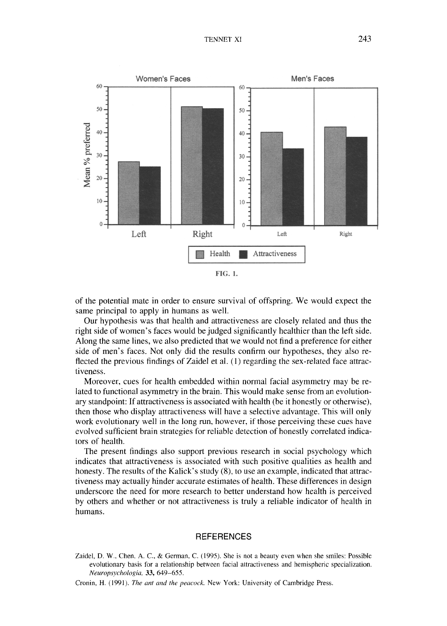

of the potential mate in order to ensure survival of offspring. We would expect the same principal to apply in humans as well.

Our hypothesis was that health and attractiveness are closely related and thus the right side of women's faces would be judged significantly healthier than the left side. Along the same lines, we also predicted that we would not find a preference for either side of men's faces. Not only did the results confirm our hypotheses, they also reflected the previous findings of Zaidel et al. (1) regarding the sex-related face attractiveness.

Moreover, cues for health embedded within normal facial asymmetry may be related to functional asymmetry in the brain. This would make sense from an evolutionary standpoint: If attractiveness is associated with health (be it honestly or otherwise), then those who display attractiveness will have a selective advantage. This will only work evolutionary well in the long run, however, if those perceiving these cues have evolved sufficient brain strategies for reliable detection of honestly correlated indicators of health.

The present findings also support previous research in social psychology which indicates that attractiveness is associated with such positive qualities as health and honesty. The results of the Kalick's study (8), to use an example, indicated that attractiveness may actually hinder accurate estimates of health. These differences in design underscore the need for more research to better understand how health is perceived by others and whether or not attractiveness is truly a reliable indicator of health in humans.

### **REFERENCES**

Zaidel, D. W., Chen, A. C., & German, C. (1995). She is not a beauty even when she smiles: Possible evolutionary basis for a relationship between facial attractiveness and hemispheric specialization. *Neuropsychologia,* 33, 649-655.